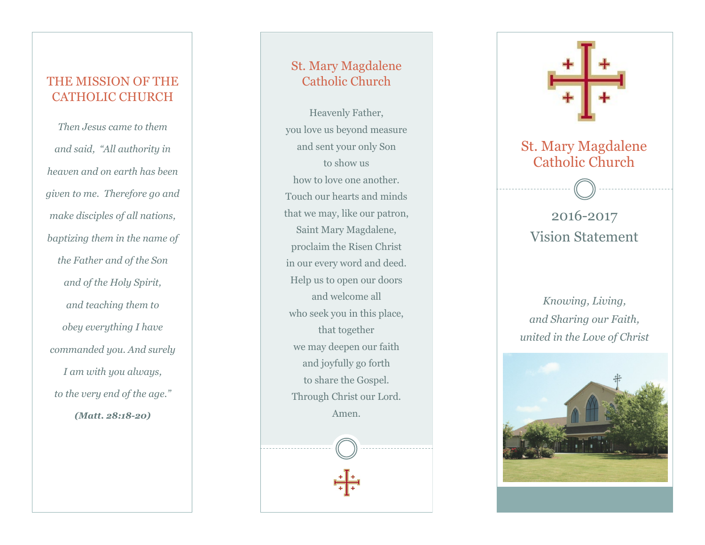#### THE MISSION OF THE CATHOLIC CHURCH

*Then Jesus came to them and said, "All authority in heaven and on earth has been given to me. Therefore go and make disciples of all nations, baptizing them in the name of the Father and of the Son and of the Holy Spirit, and teaching them to obey everything I have commanded you. And surely I am with you always, to the very end of the age." (Matt. 28:18 -20)*

#### St. Mary Magdalene Catholic Church

Heavenly Father, you love us beyond measure and sent your only Son to show us how to love one another. Touch our hearts and minds that we may, like our patron, Saint Mary Magdalene, proclaim the Risen Christ in our every word and deed. Help us to open our doors and welcome all who seek you in this place, that together we may deepen our faith and joyfully go forth to share the Gospel. Through Christ our Lord. Amen.